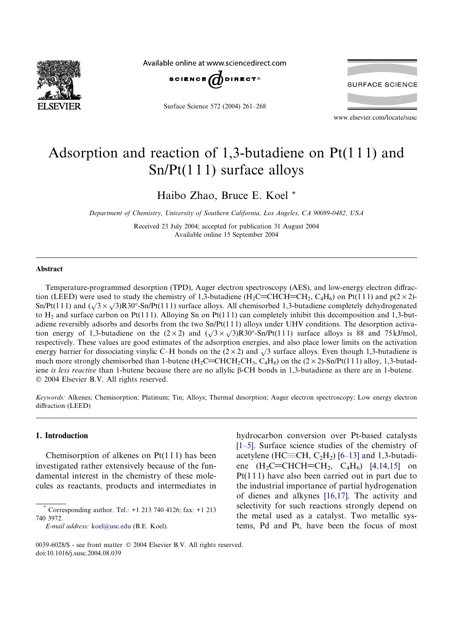

Available online at www.sciencedirect.com



Surface Science 572 (2004) 261–268

**SURFACE SCIENCE** 

www.elsevier.com/locate/susc

# Adsorption and reaction of 1,3-butadiene on Pt(1 1 1) and Sn/Pt(1 1 1) surface alloys

Haibo Zhao, Bruce E. Koel \*

Department of Chemistry, University of Southern California, Los Angeles, CA 90089-0482, USA

Received 23 July 2004; accepted for publication 31 August 2004 Available online 15 September 2004

#### Abstract

Temperature-programmed desorption (TPD), Auger electron spectroscopy (AES), and low-energy electron diffraction (LEED) were used to study the chemistry of 1,3-butadiene (H<sub>2</sub>C=CHCH=CH<sub>2</sub>, C<sub>4</sub>H<sub>6</sub>) on Pt(111) and p(2 × 2)-Sn/Pt(111) and  $(\sqrt{3} \times \sqrt{3})R30^{\circ}$ -Sn/Pt(111) surface alloys. All chemisorbed 1,3-butadiene completely dehydrogenated to  $H_2$  and surface carbon on Pt(111). Alloying Sn on Pt(111) can completely inhibit this decomposition and 1,3-butadiene reversibly adsorbs and desorbs from the two Sn/Pt(1 1 1) alloys under UHV conditions. The desorption activation energy of 1,3-butadiene on the  $(2 \times 2)$  and  $(\sqrt{3} \times \sqrt{3})R30^\circ$ -Sn/Pt(111) surface alloys is 88 and 75 kJ/mol, respectively. These values are good estimates of the adsorption energies, and also place lower limits on the activation energy barrier for dissociating vinylic C–H bonds on the  $(2 \times 2)$  and  $\sqrt{3}$  surface alloys. Even though 1,3-butadiene is much more strongly chemisorbed than 1-butene (H<sub>2</sub>C=CHCH<sub>2</sub>CH<sub>3</sub>, C<sub>4</sub>H<sub>8</sub>) on the (2 × 2)-Sn/Pt(111) alloy, 1,3-butadiene is less reactive than 1-butene because there are no allylic  $\beta$ -CH bonds in 1,3-butadiene as there are in 1-butene.  $© 2004 Elsevier B.V. All rights reserved.$ 

Keywords: Alkenes; Chemisorption; Platinum; Tin; Alloys; Thermal desorption; Auger electron spectroscopy; Low energy electron diffraction (LEED)

#### 1. Introduction

Chemisorption of alkenes on Pt(1 1 1) has been investigated rather extensively because of the fundamental interest in the chemistry of these molecules as reactants, products and intermediates in hydrocarbon conversion over Pt-based catalysts [\[1–5\]](#page-6-0). Surface science studies of the chemistry of acetylene (HC $\equiv$ CH, C<sub>2</sub>H<sub>2</sub>) [\[6–13\]](#page-6-0) and 1,3-butadiene  $(H_2C=CHCH=CH_2, C_4H_6)$  [\[4,14,15\]](#page-6-0) on  $Pt(111)$  have also been carried out in part due to the industrial importance of partial hydrogenation of dienes and alkynes [\[16,17\]](#page-7-0). The activity and selectivity for such reactions strongly depend on the metal used as a catalyst. Two metallic systems, Pd and Pt, have been the focus of most

<sup>\*</sup> Corresponding author. Tel.: +1 213 740 4126; fax: +1 213 740 3972.

E-mail address: [koel@usc.edu](mailto:koel@usc.edu ) (B.E. Koel).

<sup>0039-6028/\$ -</sup> see front matter © 2004 Elsevier B.V. All rights reserved. doi:10.1016/j.susc.2004.08.039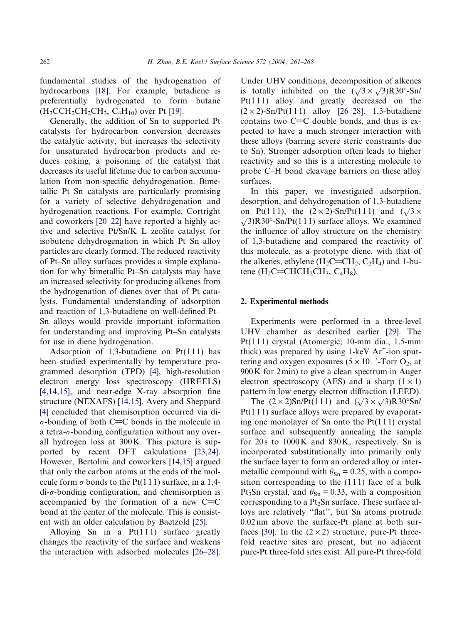fundamental studies of the hydrogenation of hydrocarbons [\[18\].](#page-7-0) For example, butadiene is preferentially hydrogenated to form butane  $(H_3CCH_2CH_2CH_3, C_4H_{10})$  over Pt [\[19\].](#page-7-0)

Generally, the addition of Sn to supported Pt catalysts for hydrocarbon conversion decreases the catalytic activity, but increases the selectivity for unsaturated hydrocarbon products and reduces coking, a poisoning of the catalyst that decreases its useful lifetime due to carbon accumulation from non-specific dehydrogenation. Bimetallic Pt–Sn catalysts are particularly promising for a variety of selective dehydrogenation and hydrogenation reactions. For example, Cortright and coworkers [\[20–22\]](#page-7-0) have reported a highly active and selective Pt/Sn/K–L zeolite catalyst for isobutene dehydrogenation in which Pt–Sn alloy particles are clearly formed. The reduced reactivity of Pt–Sn alloy surfaces provides a simple explanation for why bimetallic Pt–Sn catalysts may have an increased selectivity for producing alkenes from the hydrogenation of dienes over that of Pt catalysts. Fundamental understanding of adsorption and reaction of 1,3-butadiene on well-defined Pt– Sn alloys would provide important information for understanding and improving Pt–Sn catalysts for use in diene hydrogenation.

Adsorption of 1,3-butadiene on  $Pt(111)$  has been studied experimentally by temperature programmed desorption (TPD) [\[4\]](#page-6-0), high-resolution electron energy loss spectroscopy (HREELS) [\[4,14,15\]](#page-6-0), and near-edge X-ray absorption fine structure (NEXAFS) [\[14,15\]](#page-6-0). Avery and Sheppard [\[4\]](#page-6-0) concluded that chemisorption occurred via di- $\sigma$ -bonding of both C=C bonds in the molecule in a tetra- $\sigma$ -bonding configuration without any overall hydrogen loss at 300K. This picture is supported by recent DFT calculations [\[23,24\].](#page-7-0) However, Bertolini and coworkers [\[14,15\]](#page-6-0) argued that only the carbon atoms at the ends of the molecule form  $\sigma$  bonds to the Pt(111) surface, in a 1,4 $di$ - $\sigma$ -bonding configuration, and chemisorption is accompanied by the formation of a new  $C=C$ bond at the center of the molecule. This is consistent with an older calculation by Baetzold [\[25\]](#page-7-0).

Alloying Sn in a  $Pt(111)$  surface greatly changes the reactivity of the surface and weakens the interaction with adsorbed molecules [\[26–28\].](#page-7-0) Under UHV conditions, decomposition of alkenes is totally inhibited on the  $(\sqrt{3} \times \sqrt{3})R30^{\circ}$ -Sn/  $Pt(111)$  alloy and greatly decreased on the  $(2 \times 2)$ -Sn/Pt(111) alloy [\[26–28\].](#page-7-0) 1,3-butadiene contains two  $C=C$  double bonds, and thus is expected to have a much stronger interaction with these alloys (barring severe steric constraints due to Sn). Stronger adsorption often leads to higher reactivity and so this is a interesting molecule to probe C–H bond cleavage barriers on these alloy surfaces.

In this paper, we investigated adsorption, desorption, and dehydrogenation of 1,3-butadiene on Pt(111), the  $(2 \times 2)$ -Sn/Pt(111) and  $(\sqrt{3} \times$  $\sqrt{3}$ R30°-Sn/Pt(111) surface alloys. We examined the influence of alloy structure on the chemistry of 1,3-butadiene and compared the reactivity of this molecule, as a prototype diene, with that of the alkenes, ethylene  $(H_2C=CH_2, C_2H_4)$  and 1-butene  $(H_2C=CHCH_2CH_3, C_4H_8)$ .

### 2. Experimental methods

Experiments were performed in a three-level UHV chamber as described earlier [\[29\]](#page-7-0). The Pt(111) crystal (Atomergic; 10-mm dia., 1.5-mm thick) was prepared by using  $1$ -keV  $Ar^+$ -ion sputtering and oxygen exposures  $(5 \times 10^{-7}$ -Torr O<sub>2</sub>, at 900K for 2min) to give a clean spectrum in Auger electron spectroscopy (AES) and a sharp  $(1 \times 1)$ pattern in low energy electron diffraction (LEED).

The  $(2 \times 2)$ Sn/Pt(111) and  $(\sqrt{3} \times \sqrt{3})R30^{\circ}$ Sn/ Pt(111) surface alloys were prepared by evaporating one monolayer of Sn onto the  $Pt(111)$  crystal surface and subsequently annealing the sample for  $20s$  to  $1000K$  and  $830K$ , respectively. Sn is incorporated substitutionally into primarily only the surface layer to form an ordered alloy or intermetallic compound with  $\theta_{\text{Sn}} = 0.25$ , with a composition corresponding to the  $(111)$  face of a bulk Pt<sub>3</sub>Sn crystal, and  $\theta_{\text{Sn}} = 0.33$ , with a composition corresponding to a  $Pt<sub>2</sub>Sn$  surface. These surface alloys are relatively ''flat'', but Sn atoms protrude 0.02 nm above the surface-Pt plane at both sur-faces [\[30\]](#page-7-0). In the  $(2 \times 2)$  structure, pure-Pt threefold reactive sites are present, but no adjacent pure-Pt three-fold sites exist. All pure-Pt three-fold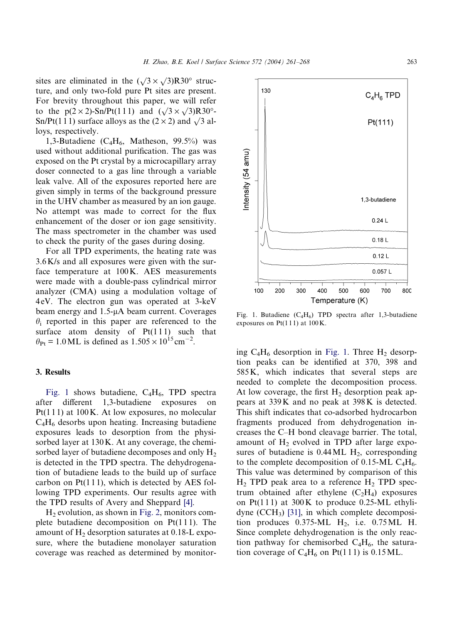<span id="page-2-0"></span>sites are eliminated in the  $(\sqrt{3} \times \sqrt{3})R30^\circ$  structure, and only two-fold pure Pt sites are present. For brevity throughout this paper, we will refer to the  $p(2 \times 2)$ -Sn/Pt(111) and  $(\sqrt{3} \times \sqrt{3})R30^\circ$ -Sn/Pt(111) surface alloys as the  $(2 \times 2)$  and  $\sqrt{3}$  alloys, respectively.

1,3-Butadiene ( $C_4H_6$ , Matheson, 99.5%) was used without additional purification. The gas was exposed on the Pt crystal by a microcapillary array doser connected to a gas line through a variable leak valve. All of the exposures reported here are given simply in terms of the background pressure in the UHV chamber as measured by an ion gauge. No attempt was made to correct for the flux enhancement of the doser or ion gage sensitivity. The mass spectrometer in the chamber was used to check the purity of the gases during dosing.

For all TPD experiments, the heating rate was 3.6K/s and all exposures were given with the surface temperature at 100K. AES measurements were made with a double-pass cylindrical mirror analyzer (CMA) using a modulation voltage of 4 eV. The electron gun was operated at 3-keV beam energy and  $1.5-\mu A$  beam current. Coverages  $\theta_i$  reported in this paper are referenced to the surface atom density of  $Pt(111)$  such that  $heta_{\text{Pt}} = 1.0 \text{ ML}$  is defined as  $1.505 \times 10^{15} \text{ cm}^{-2}$ .

### 3. Results

Fig. 1 shows butadiene,  $C_4H_6$ , TPD spectra after different 1,3-butadiene exposures on Pt(111) at 100K. At low exposures, no molecular  $C_4H_6$  desorbs upon heating. Increasing butadiene exposures leads to desorption from the physisorbed layer at 130K. At any coverage, the chemisorbed layer of butadiene decomposes and only  $H_2$ is detected in the TPD spectra. The dehydrogenation of butadiene leads to the build up of surface carbon on  $Pt(111)$ , which is detected by AES following TPD experiments. Our results agree with the TPD results of Avery and Sheppard [\[4\]](#page-6-0).

 $H<sub>2</sub>$  evolution, as shown in [Fig. 2](#page-3-0), monitors complete butadiene decomposition on  $Pt(111)$ . The amount of  $H_2$  desorption saturates at 0.18-L exposure, where the butadiene monolayer saturation coverage was reached as determined by monitorFig. 1. Butadiene  $(C_4H_6)$  TPD spectra after 1,3-butadiene exposures on Pt(111) at 100K.

ing  $C_4H_6$  desorption in Fig. 1. Three  $H_2$  desorption peaks can be identified at 370, 398 and 585K, which indicates that several steps are needed to complete the decomposition process. At low coverage, the first  $H_2$  desorption peak appears at 339K and no peak at 398K is detected. This shift indicates that co-adsorbed hydrocarbon fragments produced from dehydrogenation increases the C–H bond cleavage barrier. The total, amount of  $H_2$  evolved in TPD after large exposures of butadiene is  $0.44 \text{ ML H}_2$ , corresponding to the complete decomposition of 0.15-ML  $C_4H_6$ . This value was determined by comparison of this  $H<sub>2</sub>$  TPD peak area to a reference  $H<sub>2</sub>$  TPD spectrum obtained after ethylene  $(C_2H_4)$  exposures on Pt(111) at  $300K$  to produce 0.25-ML ethylidyne  $(CCH_3)$  [\[31\]](#page-7-0), in which complete decomposition produces  $0.375\text{-}ML$  H<sub>2</sub>, i.e.  $0.75ML$  H. Since complete dehydrogenation is the only reaction pathway for chemisorbed  $C_4H_6$ , the saturation coverage of  $C_4H_6$  on Pt(111) is 0.15 ML.

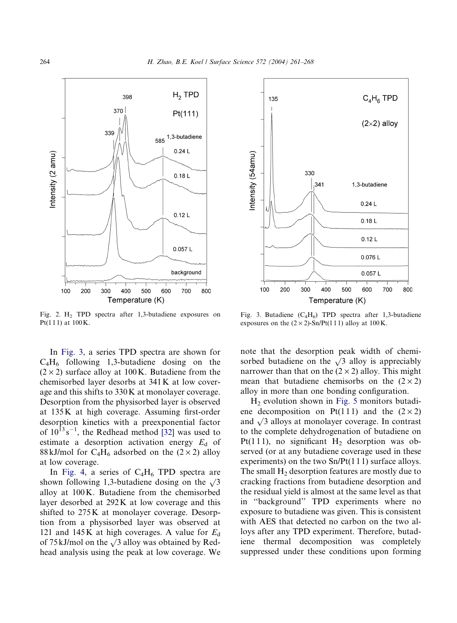<span id="page-3-0"></span>

Fig. 2. H2 TPD spectra after 1,3-butadiene exposures on Pt(111) at  $100K$ .

In Fig. 3, a series TPD spectra are shown for  $C_4H_6$  following 1,3-butadiene dosing on the  $(2 \times 2)$  surface alloy at 100K. Butadiene from the chemisorbed layer desorbs at 341K at low coverage and this shifts to 330K at monolayer coverage. Desorption from the physisorbed layer is observed at 135K at high coverage. Assuming first-order desorption kinetics with a preexponential factor of  $10^{13}$  s<sup>-1</sup>, the Redhead method [\[32\]](#page-7-0) was used to estimate a desorption activation energy  $E_d$  of 88 kJ/mol for C<sub>4</sub>H<sub>6</sub> adsorbed on the  $(2 \times 2)$  alloy at low coverage.

In [Fig. 4,](#page-4-0) a series of  $C_4H_6$  TPD spectra are shown following 1,3-butadiene dosing on the  $\sqrt{3}$ alloy at 100K. Butadiene from the chemisorbed layer desorbed at 292K at low coverage and this shifted to 275K at monolayer coverage. Desorption from a physisorbed layer was observed at 121 and 145K at high coverages. A value for  $E_d$ of 75 kJ/mol on the  $\sqrt{3}$  alloy was obtained by Redhead analysis using the peak at low coverage. We



Fig. 3. Butadiene  $(C_4H_6)$  TPD spectra after 1,3-butadiene exposures on the  $(2 \times 2)$ -Sn/Pt(111) alloy at 100K.

note that the desorption peak width of chemisorbed butadiene on the  $\sqrt{3}$  alloy is appreciably narrower than that on the  $(2 \times 2)$  alloy. This might mean that butadiene chemisorbs on the  $(2 \times 2)$ alloy in more than one bonding configuration.

 $H<sub>2</sub>$  evolution shown in [Fig. 5](#page-4-0) monitors butadiene decomposition on Pt(111) and the  $(2 \times 2)$ and  $\sqrt{3}$  alloys at monolayer coverage. In contrast to the complete dehydrogenation of butadiene on Pt(111), no significant  $H<sub>2</sub>$  desorption was observed (or at any butadiene coverage used in these experiments) on the two  $Sn/Pt(1 1 1)$  surface alloys. The small  $H_2$  desorption features are mostly due to cracking fractions from butadiene desorption and the residual yield is almost at the same level as that in ''background'' TPD experiments where no exposure to butadiene was given. This is consistent with AES that detected no carbon on the two alloys after any TPD experiment. Therefore, butadiene thermal decomposition was completely suppressed under these conditions upon forming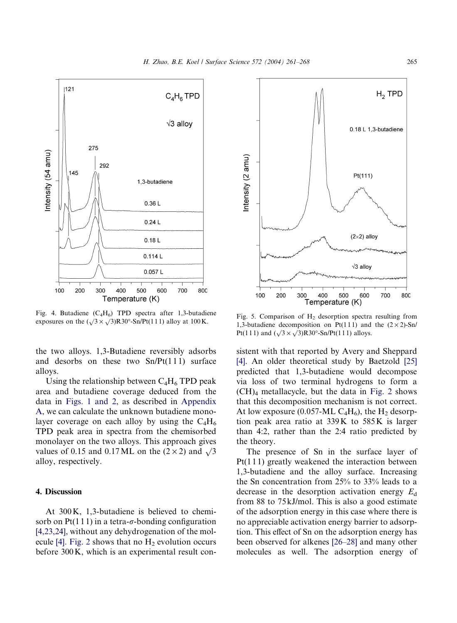<span id="page-4-0"></span>

Fig. 4. Butadiene  $(C_4H_6)$  TPD spectra after 1,3-butadiene Fig. 4. Butadiene  $(C_4H_6)$  IPD spectra after 1,3-butadiene<br>exposures on the  $(\sqrt{3} \times \sqrt{3})R30^\circ$ -Sn/Pt(111) alloy at 100 K. 1.3 butadiene decomposition on Pt(111) and the  $(2 \times 2)$  Sn/

the two alloys. 1,3-Butadiene reversibly adsorbs and desorbs on these two  $Sn/Pt(111)$  surface alloys.

Using the relationship between  $C_4H_6$  TPD peak area and butadiene coverage deduced from the data in [Figs. 1 and 2,](#page-2-0) as described in Appendix A, we can calculate the unknown butadiene monolayer coverage on each alloy by using the  $C_4H_6$ TPD peak area in spectra from the chemisorbed monolayer on the two alloys. This approach gives values of 0.15 and 0.17 ML on the  $(2 \times 2)$  and  $\sqrt{3}$ alloy, respectively.

## 4. Discussion

At 300K, 1,3-butadiene is believed to chemisorb on Pt(1 1 1) in a tetra- $\sigma$ -bonding configuration [\[4,23,24\]](#page-6-0), without any dehydrogenation of the mol-ecule [\[4\]](#page-6-0). [Fig. 2](#page-3-0) shows that no  $H_2$  evolution occurs before 300K, which is an experimental result con-



1,3-butadiene decomposition on Pt(111) and the  $(2 \times 2)$ -Sn/ Pt(111) and  $(\sqrt{3} \times \sqrt{3})R30^{\circ}$ -Sn/Pt(111) alloys.

sistent with that reported by Avery and Sheppard [\[4\]](#page-6-0). An older theoretical study by Baetzold [\[25\]](#page-7-0) predicted that 1,3-butadiene would decompose via loss of two terminal hydrogens to form a  $(CH)<sub>4</sub>$  metallacycle, but the data in [Fig. 2](#page-3-0) shows that this decomposition mechanism is not correct. At low exposure (0.057-ML  $C_4H_6$ ), the  $H_2$  desorption peak area ratio at 339K to 585K is larger than 4:2, rather than the 2:4 ratio predicted by the theory.

The presence of Sn in the surface layer of Pt(1 1 1) greatly weakened the interaction between 1,3-butadiene and the alloy surface. Increasing the Sn concentration from 25% to 33% leads to a decrease in the desorption activation energy  $E_d$ from 88 to 75 kJ/mol. This is also a good estimate of the adsorption energy in this case where there is no appreciable activation energy barrier to adsorption. This effect of Sn on the adsorption energy has been observed for alkenes [\[26–28\]](#page-7-0) and many other molecules as well. The adsorption energy of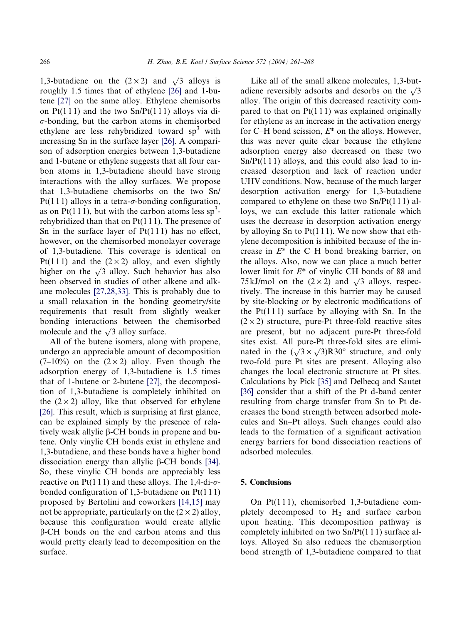1,3-butadiene on the  $(2 \times 2)$  and  $\sqrt{3}$  alloys is roughly 1.5 times that of ethylene [\[26\]](#page-7-0) and 1-butene [\[27\]](#page-7-0) on the same alloy. Ethylene chemisorbs on  $Pt(111)$  and the two  $Sn/Pt(111)$  alloys via di- $\sigma$ -bonding, but the carbon atoms in chemisorbed ethylene are less rehybridized toward  $sp<sup>3</sup>$  with increasing Sn in the surface layer [\[26\].](#page-7-0) A comparison of adsorption energies between 1,3-butadiene and 1-butene or ethylene suggests that all four carbon atoms in 1,3-butadiene should have strong interactions with the alloy surfaces. We propose that 1,3-butadiene chemisorbs on the two Sn/ Pt(111) alloys in a tetra- $\sigma$ -bonding configuration, as on Pt(111), but with the carbon atoms less  $sp^3$ rehybridized than that on  $Pt(111)$ . The presence of Sn in the surface layer of  $Pt(111)$  has no effect, however, on the chemisorbed monolayer coverage of 1,3-butadiene. This coverage is identical on Pt(111) and the  $(2 \times 2)$  alloy, and even slightly higher on the  $\sqrt{3}$  alloy. Such behavior has also been observed in studies of other alkene and alkane molecules [\[27,28,33\]](#page-7-0). This is probably due to a small relaxation in the bonding geometry/site requirements that result from slightly weaker bonding interactions between the chemisorbed molecule and the  $\sqrt{3}$  alloy surface.

All of the butene isomers, along with propene, undergo an appreciable amount of decomposition  $(7-10\%)$  on the  $(2 \times 2)$  alloy. Even though the adsorption energy of 1,3-butadiene is 1.5 times that of 1-butene or 2-butene [\[27\]](#page-7-0), the decomposition of 1,3-butadiene is completely inhibited on the  $(2 \times 2)$  alloy, like that observed for ethylene [\[26\].](#page-7-0) This result, which is surprising at first glance, can be explained simply by the presence of relatively weak allylic  $\beta$ -CH bonds in propene and butene. Only vinylic CH bonds exist in ethylene and 1,3-butadiene, and these bonds have a higher bond dissociation energy than allylic  $\beta$ -CH bonds [\[34\].](#page-7-0) So, these vinylic CH bonds are appreciably less reactive on Pt(111) and these alloys. The 1,4-di- $\sigma$ bonded configuration of 1,3-butadiene on Pt(1 1 1) proposed by Bertolini and coworkers [\[14,15\]](#page-6-0) may not be appropriate, particularly on the  $(2 \times 2)$  alloy, because this configuration would create allylic  $\beta$ -CH bonds on the end carbon atoms and this would pretty clearly lead to decomposition on the surface.

Like all of the small alkene molecules, 1,3-butadiene reversibly adsorbs and desorbs on the  $\sqrt{3}$ alloy. The origin of this decreased reactivity compared to that on  $Pt(111)$  was explained originally for ethylene as an increase in the activation energy for C–H bond scission,  $E^*$  on the alloys. However, this was never quite clear because the ethylene adsorption energy also decreased on these two  $Sn/Pt(111)$  alloys, and this could also lead to increased desorption and lack of reaction under UHV conditions. Now, because of the much larger desorption activation energy for 1,3-butadiene compared to ethylene on these two  $Sn/Pt(111)$  alloys, we can exclude this latter rationale which uses the decrease in desorption activation energy by alloying Sn to  $Pt(111)$ . We now show that ethylene decomposition is inhibited because of the increase in  $E^*$  the C–H bond breaking barrier, on the alloys. Also, now we can place a much better lower limit for  $E^*$  of vinylic CH bonds of 88 and 75 kJ/mol on the  $(2 \times 2)$  and  $\sqrt{3}$  alloys, respectively. The increase in this barrier may be caused by site-blocking or by electronic modifications of the  $Pt(111)$  surface by alloying with Sn. In the  $(2 \times 2)$  structure, pure-Pt three-fold reactive sites are present, but no adjacent pure-Pt three-fold sites exist. All pure-Pt three-fold sites are eliminated in the  $(\sqrt{3} \times \sqrt{3})R30^{\circ}$  structure, and only two-fold pure Pt sites are present. Alloying also changes the local electronic structure at Pt sites. Calculations by Pick [\[35\]](#page-7-0) and Delbecq and Sautet [\[36\]](#page-7-0) consider that a shift of the Pt d-band center resulting from charge transfer from Sn to Pt decreases the bond strength between adsorbed molecules and Sn–Pt alloys. Such changes could also leads to the formation of a significant activation energy barriers for bond dissociation reactions of adsorbed molecules.

## 5. Conclusions

On Pt(1 1 1), chemisorbed 1,3-butadiene completely decomposed to  $H_2$  and surface carbon upon heating. This decomposition pathway is completely inhibited on two Sn/Pt(1 1 1) surface alloys. Alloyed Sn also reduces the chemisorption bond strength of 1,3-butadiene compared to that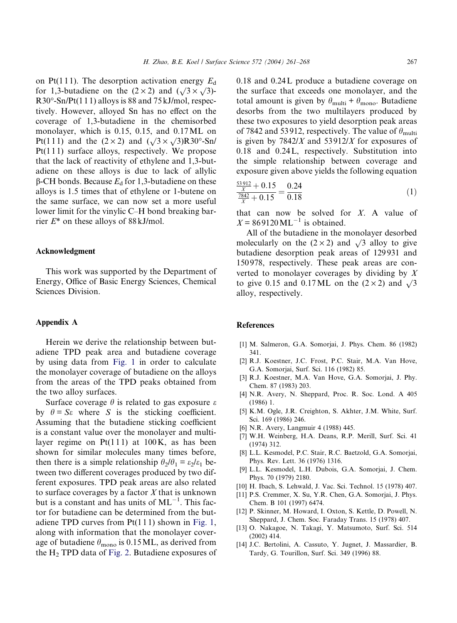<span id="page-6-0"></span>on Pt(111). The desorption activation energy  $E_d$ for 1,3-butadiene on the  $(2 \times 2)$  and  $(\sqrt{3} \times \sqrt{3})$ - $R30^{\circ}$ -Sn/Pt(1 1 1) alloys is 88 and 75 kJ/mol, respectively. However, alloyed Sn has no effect on the coverage of 1,3-butadiene in the chemisorbed monolayer, which is 0.15, 0.15, and 0.17ML on Pt(111) and the  $(2 \times 2)$  and  $(\sqrt{3} \times \sqrt{3})R30^{\circ}$ -Sn/ Pt(1 1 1) surface alloys, respectively. We propose that the lack of reactivity of ethylene and 1,3-butadiene on these alloys is due to lack of allylic  $\beta$ -CH bonds. Because  $E_d$  for 1,3-butadiene on these alloys is 1.5 times that of ethylene or 1-butene on the same surface, we can now set a more useful lower limit for the vinylic C–H bond breaking barrier  $E^*$  on these alloys of 88 kJ/mol.

### Acknowledgment

This work was supported by the Department of Energy, Office of Basic Energy Sciences, Chemical Sciences Division.

# Appendix A

Herein we derive the relationship between butadiene TPD peak area and butadiene coverage by using data from [Fig. 1](#page-2-0) in order to calculate the monolayer coverage of butadiene on the alloys from the areas of the TPD peaks obtained from the two alloy surfaces.

Surface coverage  $\theta$  is related to gas exposure  $\varepsilon$ by  $\theta = S \varepsilon$  where S is the sticking coefficient. Assuming that the butadiene sticking coefficient is a constant value over the monolayer and multilayer regime on  $Pt(111)$  at  $100K$ , as has been shown for similar molecules many times before, then there is a simple relationship  $\theta_2/\theta_1 = \varepsilon_2/\varepsilon_1$  between two different coverages produced by two different exposures. TPD peak areas are also related to surface coverages by a factor  $X$  that is unknown but is a constant and has units of  $ML^{-1}$ . This factor for butadiene can be determined from the butadiene TPD curves from  $Pt(111)$  shown in [Fig. 1](#page-2-0), along with information that the monolayer coverage of butadiene  $\theta_{\text{mono}}$  is 0.15 ML, as derived from the H2 TPD data of [Fig. 2.](#page-3-0) Butadiene exposures of 0.18 and 0.24L produce a butadiene coverage on the surface that exceeds one monolayer, and the total amount is given by  $\theta_{\text{multi}} + \theta_{\text{mono}}$ . Butadiene desorbs from the two multilayers produced by these two exposures to yield desorption peak areas of 7842 and 53912, respectively. The value of  $\theta_{\text{multi}}$ is given by  $7842/X$  and  $53912/X$  for exposures of 0.18 and 0.24L, respectively. Substitution into the simple relationship between coverage and exposure given above yields the following equation

$$
\frac{\frac{53912}{X} + 0.15}{\frac{7842}{X} + 0.15} = \frac{0.24}{0.18}
$$
 (1)

that can now be solved for  $X$ . A value of  $X = 869120 \,\mathrm{ML}^{-1}$  is obtained.

All of the butadiene in the monolayer desorbed molecularly on the  $(2 \times 2)$  and  $\sqrt{3}$  alloy to give butadiene desorption peak areas of 129 931 and 150 978, respectively. These peak areas are converted to monolayer coverages by dividing by X to give 0.15 and 0.17ML on the  $(2 \times 2)$  and  $\sqrt{3}$ alloy, respectively.

#### References

- [1] M. Salmeron, G.A. Somorjai, J. Phys. Chem. 86 (1982) 341.
- [2] R.J. Koestner, J.C. Frost, P.C. Stair, M.A. Van Hove, G.A. Somorjai, Surf. Sci. 116 (1982) 85.
- [3] R.J. Koestner, M.A. Van Hove, G.A. Somorjai, J. Phy. Chem. 87 (1983) 203.
- [4] N.R. Avery, N. Sheppard, Proc. R. Soc. Lond. A 405 (1986) 1.
- [5] K.M. Ogle, J.R. Creighton, S. Akhter, J.M. White, Surf. Sci. 169 (1986) 246.
- [6] N.R. Avery, Langmuir 4 (1988) 445.
- [7] W.H. Weinberg, H.A. Deans, R.P. Merill, Surf. Sci. 41 (1974) 312.
- [8] L.L. Kesmodel, P.C. Stair, R.C. Baetzold, G.A. Somorjai, Phys. Rev. Lett. 36 (1976) 1316.
- [9] L.L. Kesmodel, L.H. Dubois, G.A. Somorjai, J. Chem. Phys. 70 (1979) 2180.
- [10] H. Ibach, S. Lehwald, J. Vac. Sci. Technol. 15 (1978) 407.
- [11] P.S. Cremmer, X. Su, Y.R. Chen, G.A. Somorjai, J. Phys. Chem. B 101 (1997) 6474.
- [12] P. Skinner, M. Howard, I. Oxton, S. Kettle, D. Powell, N. Sheppard, J. Chem. Soc. Faraday Trans. 15 (1978) 407.
- [13] O. Nakagoe, N. Takagi, Y. Matsumoto, Surf. Sci. 514 (2002) 414.
- [14] J.C. Bertolini, A. Cassuto, Y. Jugnet, J. Massardier, B. Tardy, G. Tourillon, Surf. Sci. 349 (1996) 88.